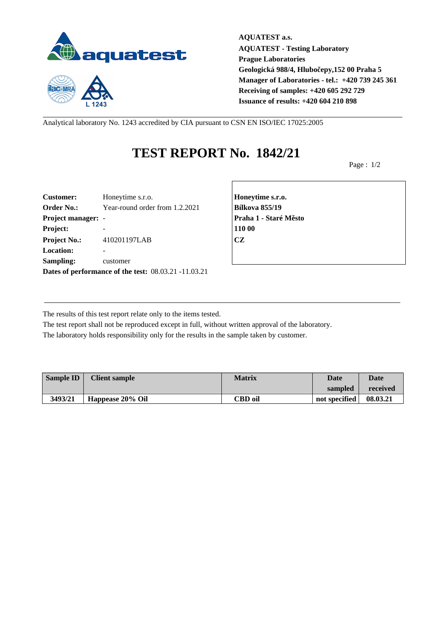

 $1243$ 

**AQUATEST a.s. AQUATEST - Testing Laboratory Prague Laboratories Geologická 988/4, Hlubočepy,152 00 Praha 5 Manager of Laboratories - tel.: +420 739 245 361 Receiving of samples: +420 605 292 729 Issuance of results: +420 604 210 898**

Analytical laboratory No. 1243 accredited by CIA pursuant to CSN EN ISO/IEC 17025:2005

## **TEST REPORT No. 1842/21**

Page : 1/2

| <b>Customer:</b>          | Honeytime s.r.o.                                     | Honey         |
|---------------------------|------------------------------------------------------|---------------|
| <b>Order No.:</b>         | Year-round order from 1.2.2021                       | <b>Bílkov</b> |
| <b>Project manager: -</b> |                                                      | Praha         |
| Project:                  |                                                      | 110 00        |
| <b>Project No.:</b>       | 410201197LAB                                         | <b>CZ</b>     |
| <b>Location:</b>          |                                                      |               |
| Sampling:                 | customer                                             |               |
|                           | Dates of performance of the test: 08.03.21 -11.03.21 |               |

**Customer:** Honeytime s.r.o. **Honeytime s.r.o. Order No.:** Year-round order from 1.2.2021 **Bílkova 855/19 Project manager:** - **Praha 1 - Staré Město**

The results of this test report relate only to the items tested.

The test report shall not be reproduced except in full, without written approval of the laboratory. The laboratory holds responsibility only for the results in the sample taken by customer.

| <b>Sample ID</b> | <b>Client sample</b> | <b>Matrix</b>  | Date          | <b>Date</b> |
|------------------|----------------------|----------------|---------------|-------------|
|                  |                      |                | sampled       | received    |
| 3493/21          | Happease 20% Oil     | <b>CBD</b> oil | not specified | 08.03.21    |